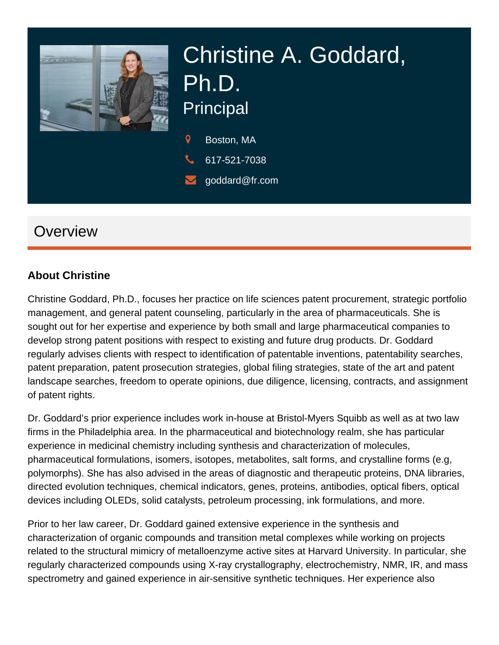

# Christine A. Goddard, Ph.D. **Principal**

 $\mathbf Q$ Boston, MA

- 617-521-7038
- goddard@fr.com

# **Overview**

#### **About Christine**

Christine Goddard, Ph.D., focuses her practice on life sciences patent procurement, strategic portfolio management, and general patent counseling, particularly in the area of pharmaceuticals. She is sought out for her expertise and experience by both small and large pharmaceutical companies to develop strong patent positions with respect to existing and future drug products. Dr. Goddard regularly advises clients with respect to identification of patentable inventions, patentability searches, patent preparation, patent prosecution strategies, global filing strategies, state of the art and patent landscape searches, freedom to operate opinions, due diligence, licensing, contracts, and assignment of patent rights.

Dr. Goddard's prior experience includes work in-house at Bristol-Myers Squibb as well as at two law firms in the Philadelphia area. In the pharmaceutical and biotechnology realm, she has particular experience in medicinal chemistry including synthesis and characterization of molecules, pharmaceutical formulations, isomers, isotopes, metabolites, salt forms, and crystalline forms (e.g, polymorphs). She has also advised in the areas of diagnostic and therapeutic proteins, DNA libraries, directed evolution techniques, chemical indicators, genes, proteins, antibodies, optical fibers, optical devices including OLEDs, solid catalysts, petroleum processing, ink formulations, and more.

Prior to her law career, Dr. Goddard gained extensive experience in the synthesis and characterization of organic compounds and transition metal complexes while working on projects related to the structural mimicry of metalloenzyme active sites at Harvard University. In particular, she regularly characterized compounds using X-ray crystallography, electrochemistry, NMR, IR, and mass spectrometry and gained experience in air-sensitive synthetic techniques. Her experience also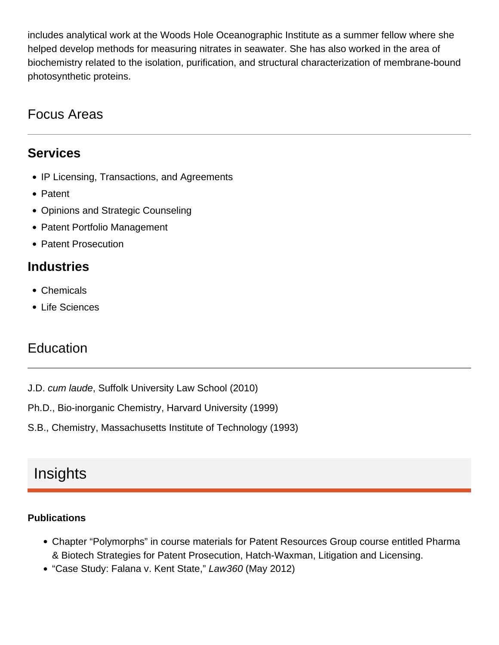includes analytical work at the Woods Hole Oceanographic Institute as a summer fellow where she helped develop methods for measuring nitrates in seawater. She has also worked in the area of biochemistry related to the isolation, purification, and structural characterization of membrane-bound photosynthetic proteins.

## Focus Areas

#### **Services**

- IP Licensing, Transactions, and Agreements
- Patent
- Opinions and Strategic Counseling
- Patent Portfolio Management
- Patent Prosecution

#### **Industries**

- Chemicals
- Life Sciences

### **Education**

- J.D. cum laude, Suffolk University Law School (2010)
- Ph.D., Bio-inorganic Chemistry, Harvard University (1999)
- S.B., Chemistry, Massachusetts Institute of Technology (1993)

## Insights

#### **Publications**

- Chapter "Polymorphs" in course materials for Patent Resources Group course entitled Pharma & Biotech Strategies for Patent Prosecution, Hatch-Waxman, Litigation and Licensing.
- "Case Study: Falana v. Kent State," Law360 (May 2012)